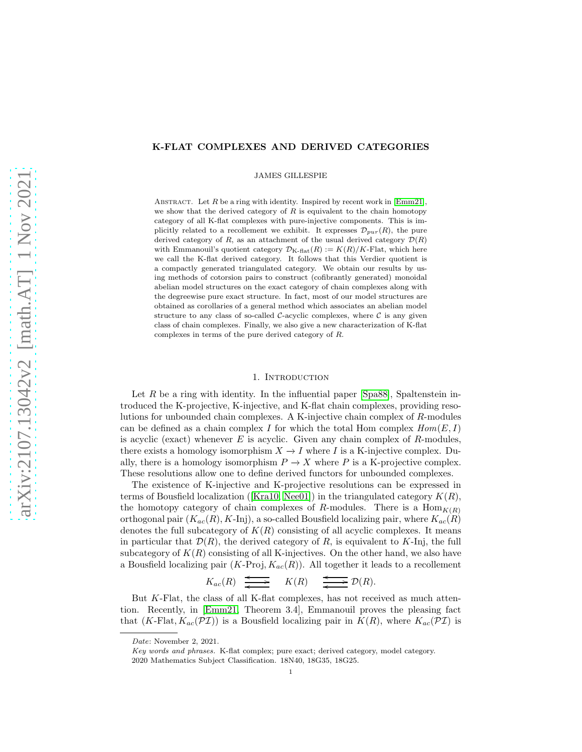## K-FLAT COMPLEXES AND DERIVED CATEGORIES

JAMES GILLESPIE

ABSTRACT. Let  $R$  be a ring with identity. Inspired by recent work in [\[Emm21\]](#page-14-0), we show that the derived category of  $R$  is equivalent to the chain homotopy category of all K-flat complexes with pure-injective components. This is implicitly related to a recollement we exhibit. It expresses  $\mathcal{D}_{pur}(R)$ , the pure derived category of R, as an attachment of the usual derived category  $\mathcal{D}(R)$ with Emmanouil's quotient category  $\mathcal{D}_{K\text{-flat}}(R) := K(R)/K\text{-Flat}$ , which here we call the K-flat derived category. It follows that this Verdier quotient is a compactly generated triangulated category. We obtain our results by using methods of cotorsion pairs to construct (cofibrantly generated) monoidal abelian model structures on the exact category of chain complexes along with the degreewise pure exact structure. In fact, most of our model structures are obtained as corollaries of a general method which associates an abelian model structure to any class of so-called  $C$ -acyclic complexes, where  $C$  is any given class of chain complexes. Finally, we also give a new characterization of K-flat complexes in terms of the pure derived category of R.

## 1. INTRODUCTION

Let  $R$  be a ring with identity. In the influential paper [\[Spa88\]](#page-15-0), Spaltenstein introduced the K-projective, K-injective, and K-flat chain complexes, providing resolutions for unbounded chain complexes. A K-injective chain complex of R-modules can be defined as a chain complex I for which the total Hom complex  $Hom(E, I)$ is acyclic (exact) whenever  $E$  is acyclic. Given any chain complex of  $R$ -modules, there exists a homology isomorphism  $X \to I$  where I is a K-injective complex. Dually, there is a homology isomorphism  $P \to X$  where P is a K-projective complex. These resolutions allow one to define derived functors for unbounded complexes.

The existence of K-injective and K-projective resolutions can be expressed in terms of Bousfield localization ([Kra10, [Nee01\]](#page-15-1)) in the triangulated category  $K(R)$ , the homotopy category of chain complexes of R-modules. There is a  $\text{Hom}_{K(R)}$ orthogonal pair  $(K_{ac}(R), K\text{-Inj})$ , a so-called Bousfield localizing pair, where  $K_{ac}(R)$ denotes the full subcategory of  $K(R)$  consisting of all acyclic complexes. It means in particular that  $\mathcal{D}(R)$ , the derived category of R, is equivalent to K-Inj, the full subcategory of  $K(R)$  consisting of all K-injectives. On the other hand, we also have a Bousfield localizing pair  $(K\text{-}\mathbf{Proj}, K_{ac}(R))$ . All together it leads to a recollement

> $K_{ac}(R) \xrightarrow{\longleftarrow} K(R) \xrightarrow{\longleftarrow} \mathcal{D}(R).$ o

But K-Flat, the class of all K-flat complexes, has not received as much attention. Recently, in [\[Emm21,](#page-14-0) Theorem 3.4], Emmanouil proves the pleasing fact that  $(K\text{-Flat}, K_{ac}(\mathcal{PI}))$  is a Bousfield localizing pair in  $K(R)$ , where  $K_{ac}(\mathcal{PI})$  is

Date: November 2, 2021.

Key words and phrases. K-flat complex; pure exact; derived category, model category. 2020 Mathematics Subject Classification. 18N40, 18G35, 18G25.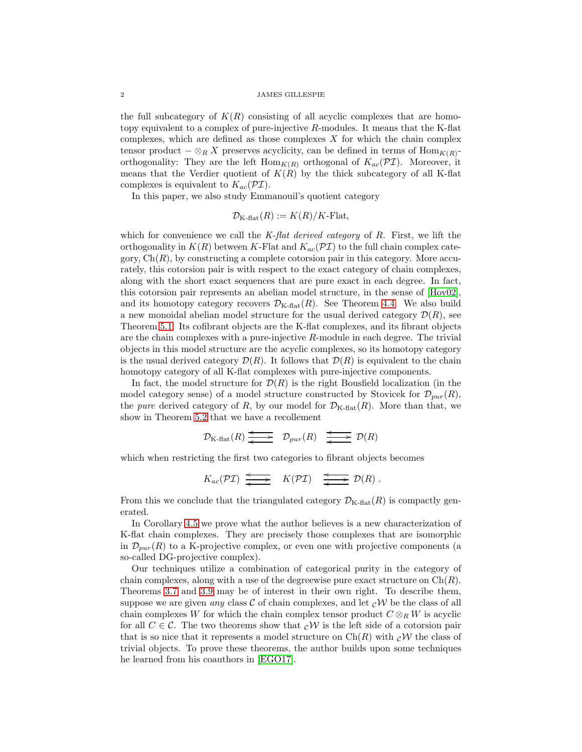the full subcategory of  $K(R)$  consisting of all acyclic complexes that are homotopy equivalent to a complex of pure-injective R-modules. It means that the K-flat complexes, which are defined as those complexes  $X$  for which the chain complex tensor product  $-\otimes_R X$  preserves acyclicity, can be defined in terms of  $\text{Hom}_{K(R)}$ orthogonality: They are the left  $\text{Hom}_{K(R)}$  orthogonal of  $K_{ac}(\mathcal{PI})$ . Moreover, it means that the Verdier quotient of  $K(R)$  by the thick subcategory of all K-flat complexes is equivalent to  $K_{ac}(\mathcal{PI})$ .

In this paper, we also study Emmanouil's quotient category

$$
\mathcal{D}_{K\text{-flat}}(R) := K(R)/K\text{-Flat},
$$

which for convenience we call the  $K$ -flat derived category of R. First, we lift the orthogonality in  $K(R)$  between K-Flat and  $K_{ac}(\mathcal{PI})$  to the full chain complex category,  $Ch(R)$ , by constructing a complete cotorsion pair in this category. More accurately, this cotorsion pair is with respect to the exact category of chain complexes, along with the short exact sequences that are pure exact in each degree. In fact, this cotorsion pair represents an abelian model structure, in the sense of [\[Hov02\]](#page-14-1), and its homotopy category recovers  $\mathcal{D}_{K\text{-flat}}(R)$ . See Theorem [4.4.](#page-9-0) We also build a new monoidal abelian model structure for the usual derived category  $\mathcal{D}(R)$ , see Theorem [5.1.](#page-12-0) Its cofibrant objects are the K-flat complexes, and its fibrant objects are the chain complexes with a pure-injective  $R$ -module in each degree. The trivial objects in this model structure are the acyclic complexes, so its homotopy category is the usual derived category  $\mathcal{D}(R)$ . It follows that  $\mathcal{D}(R)$  is equivalent to the chain homotopy category of all K-flat complexes with pure-injective components.

In fact, the model structure for  $\mathcal{D}(R)$  is the right Bousfield localization (in the model category sense) of a model structure constructed by Stovicek for  $\mathcal{D}_{pur}(R)$ , the *pure* derived category of R, by our model for  $\mathcal{D}_{K\text{-flat}}(R)$ . More than that, we show in Theorem [5.2](#page-13-0) that we have a recollement

$$
\mathcal{D}_{K\text{-flat}}(R) \xrightarrow{\longleftarrow} \mathcal{D}_{pur}(R) \xrightarrow{\longleftarrow} \mathcal{D}(R)
$$

which when restricting the first two categories to fibrant objects becomes

$$
K_{ac}(\mathcal{PI}) \xrightarrow{\longleftarrow} K(\mathcal{PI}) \xrightarrow{\longleftarrow} \mathcal{D}(R).
$$

From this we conclude that the triangulated category  $\mathcal{D}_{K\text{-flat}}(R)$  is compactly generated.

In Corollary [4.5](#page-11-0) we prove what the author believes is a new characterization of K-flat chain complexes. They are precisely those complexes that are isomorphic in  $\mathcal{D}_{pur}(R)$  to a K-projective complex, or even one with projective components (a so-called DG-projective complex).

Our techniques utilize a combination of categorical purity in the category of chain complexes, along with a use of the degreewise pure exact structure on  $Ch(R)$ . Theorems [3.7](#page-6-0) and [3.9](#page-7-0) may be of interest in their own right. To describe them, suppose we are given any class C of chain complexes, and let  $\partial W$  be the class of all chain complexes W for which the chain complex tensor product  $C \otimes_R W$  is acyclic for all  $C \in \mathcal{C}$ . The two theorems show that  $\partial \mathcal{W}$  is the left side of a cotorsion pair that is so nice that it represents a model structure on  $\text{Ch}(R)$  with  $\mathcal{C}W$  the class of trivial objects. To prove these theorems, the author builds upon some techniques he learned from his coauthors in [\[EGO17\]](#page-14-2).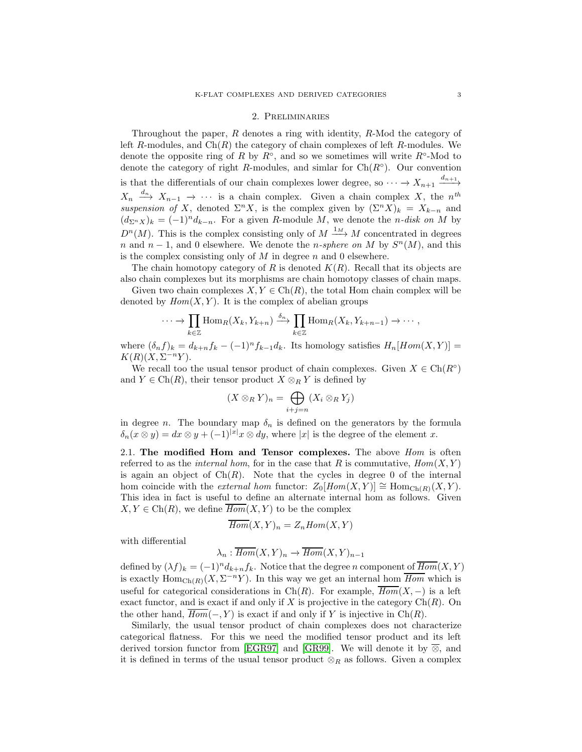### 2. Preliminaries

Throughout the paper,  $R$  denotes a ring with identity,  $R$ -Mod the category of left R-modules, and  $Ch(R)$  the category of chain complexes of left R-modules. We denote the opposite ring of R by  $R^{\circ}$ , and so we sometimes will write  $R^{\circ}$ -Mod to denote the category of right R-modules, and simlar for  $\text{Ch}(R^{\circ})$ . Our convention is that the differentials of our chain complexes lower degree, so  $\cdots \rightarrow X_{n+1} \xrightarrow{d_{n+1}}$  $X_n \stackrel{d_n}{\longrightarrow} X_{n-1} \longrightarrow \cdots$  is a chain complex. Given a chain complex X, the  $n^{th}$ suspension of X, denoted  $\Sigma^n X$ , is the complex given by  $(\Sigma^n X)_k = X_{k-n}$  and  $(d_{\Sigma^n X})_k = (-1)^n d_{k-n}$ . For a given R-module M, we denote the n-disk on M by  $D^{n}(M)$ . This is the complex consisting only of  $M \stackrel{1_M}{\longrightarrow} M$  concentrated in degrees n and  $n-1$ , and 0 elsewhere. We denote the n-sphere on M by  $S<sup>n</sup>(M)$ , and this is the complex consisting only of  $M$  in degree  $n$  and 0 elsewhere.

The chain homotopy category of R is denoted  $K(R)$ . Recall that its objects are also chain complexes but its morphisms are chain homotopy classes of chain maps.

Given two chain complexes  $X, Y \in \text{Ch}(R)$ , the total Hom chain complex will be denoted by  $Hom(X, Y)$ . It is the complex of abelian groups

$$
\cdots \to \prod_{k \in \mathbb{Z}} \text{Hom}_R(X_k, Y_{k+n}) \xrightarrow{\delta_n} \prod_{k \in \mathbb{Z}} \text{Hom}_R(X_k, Y_{k+n-1}) \to \cdots,
$$

where  $(\delta_n f)_k = d_{k+n} f_k - (-1)^n f_{k-1} d_k$ . Its homology satisfies  $H_n[Hom(X, Y)] =$  $K(R)(X,\Sigma^{-n}Y).$ 

We recall too the usual tensor product of chain complexes. Given  $X \in \text{Ch}(R^{\circ})$ and  $Y \in \text{Ch}(R)$ , their tensor product  $X \otimes_R Y$  is defined by

$$
(X\otimes_R Y)_n=\bigoplus_{i+j=n}(X_i\otimes_R Y_j)
$$

in degree *n*. The boundary map  $\delta_n$  is defined on the generators by the formula  $\delta_n(x \otimes y) = dx \otimes y + (-1)^{|x|}x \otimes dy$ , where |x| is the degree of the element x.

<span id="page-2-0"></span>2.1. The modified Hom and Tensor complexes. The above  $Hom$  is often referred to as the *internal hom*, for in the case that R is commutative,  $Hom(X, Y)$ is again an object of  $\text{Ch}(R)$ . Note that the cycles in degree 0 of the internal hom coincide with the *external hom* functor:  $Z_0[Hom(X, Y)] \cong Hom_{Ch(R)}(X, Y)$ . This idea in fact is useful to define an alternate internal hom as follows. Given  $X, Y \in Ch(R)$ , we define  $\overline{Hom}(X, Y)$  to be the complex

$$
\overline{Hom}(X,Y)_n = Z_n Hom(X,Y)
$$

with differential

$$
\lambda_n : \overline{Hom}(X, Y)_n \to \overline{Hom}(X, Y)_{n-1}
$$

defined by  $(\lambda f)_k = (-1)^n d_{k+n} f_k$ . Notice that the degree n component of  $\overline{Hom}(X, Y)$ is exactly  $\text{Hom}_{\text{Ch}(R)}(X,\Sigma^{-n}Y)$ . In this way we get an internal hom  $\overline{Hom}$  which is useful for categorical considerations in Ch(R). For example,  $\overline{Hom}(X, -)$  is a left exact functor, and is exact if and only if X is projective in the category  $Ch(R)$ . On the other hand,  $\overline{Hom}(-, Y)$  is exact if and only if Y is injective in Ch(R).

Similarly, the usual tensor product of chain complexes does not characterize categorical flatness. For this we need the modified tensor product and its left derived torsion functor from [\[EGR97\]](#page-14-3) and [\[GR99\]](#page-14-4). We will denote it by  $\overline{\otimes}$ , and it is defined in terms of the usual tensor product  $\otimes_R$  as follows. Given a complex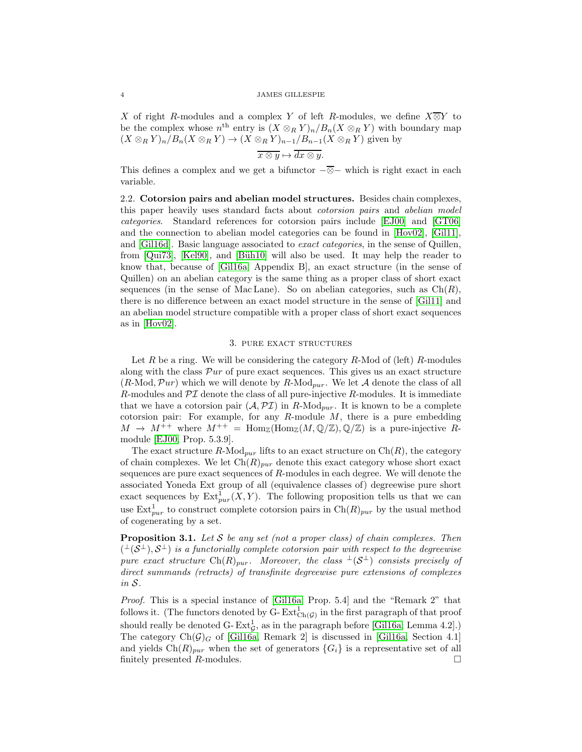X of right R-modules and a complex Y of left R-modules, we define  $X\overline{\otimes} Y$  to be the complex whose  $n^{\text{th}}$  entry is  $(X \otimes_R Y)_n / B_n(X \otimes_R Y)$  with boundary map  $(X \otimes_R Y)_n / B_n(X \otimes_R Y) \to (X \otimes_R Y)_{n-1} / B_{n-1}(X \otimes_R Y)$  given by

$$
\overline{x\otimes y}\mapsto \overline{dx\otimes y}.
$$

This defines a complex and we get a bifunctor  $-\overline{\otimes}-$  which is right exact in each variable.

<span id="page-3-1"></span>2.2. Cotorsion pairs and abelian model structures. Besides chain complexes, this paper heavily uses standard facts about cotorsion pairs and abelian model categories. Standard references for cotorsion pairs include [\[EJ00\]](#page-14-5) and [\[GT06\]](#page-14-6) and the connection to abelian model categories can be found in [\[Hov02\]](#page-14-1), [Gil11], and [\[Gil16d\]](#page-14-7). Basic language associated to exact categories, in the sense of Quillen, from [Qui73], [\[Kel90\]](#page-14-8), and [Büh10] will also be used. It may help the reader to know that, because of [\[Gil16a,](#page-14-9) Appendix B], an exact structure (in the sense of Quillen) on an abelian category is the same thing as a proper class of short exact sequences (in the sense of Mac Lane). So on abelian categories, such as  $Ch(R)$ , there is no difference between an exact model structure in the sense of [Gil11] and an abelian model structure compatible with a proper class of short exact sequences as in [\[Hov02\]](#page-14-1).

## 3. PURE EXACT STRUCTURES

Let R be a ring. We will be considering the category R-Mod of (left) R-modules along with the class  $\mathcal{P}ur$  of pure exact sequences. This gives us an exact structure  $(R\text{-Mod}, \mathcal{P}ur)$  which we will denote by  $R\text{-Mod}_{pur}$ . We let A denote the class of all R-modules and  $\mathcal{PI}$  denote the class of all pure-injective R-modules. It is immediate that we have a cotorsion pair  $(\mathcal{A}, \mathcal{PI})$  in R-Mod<sub>pur</sub>. It is known to be a complete cotorsion pair: For example, for any  $R$ -module  $M$ , there is a pure embedding  $M \to M^{++}$  where  $M^{++} = \text{Hom}_{\mathbb{Z}}(\text{Hom}_{\mathbb{Z}}(M,\mathbb{Q}/\mathbb{Z}),\mathbb{Q}/\mathbb{Z})$  is a pure-injective Rmodule [\[EJ00,](#page-14-5) Prop. 5.3.9].

The exact structure R-Mod<sub>pur</sub> lifts to an exact structure on  $\text{Ch}(R)$ , the category of chain complexes. We let  $\text{Ch}(R)_{pur}$  denote this exact category whose short exact sequences are pure exact sequences of R-modules in each degree. We will denote the associated Yoneda Ext group of all (equivalence classes of) degreewise pure short exact sequences by  $\text{Ext}^1_{pur}(X, Y)$ . The following proposition tells us that we can use  $\text{Ext}^1_{pur}$  to construct complete cotorsion pairs in  $\text{Ch}(R)_{pur}$  by the usual method of cogenerating by a set.

<span id="page-3-0"></span>**Proposition 3.1.** Let S be any set (not a proper class) of chain complexes. Then  $($ <sup> $\perp$ </sup> $(S^{\perp}), S^{\perp})$  is a functorially complete cotorsion pair with respect to the degreewise pure exact structure Ch $(R)_{pur}$ . Moreover, the class  $\perp(S^{\perp})$  consists precisely of direct summands (retracts) of transfinite degreewise pure extensions of complexes in S.

Proof. This is a special instance of [\[Gil16a,](#page-14-9) Prop. 5.4] and the "Remark 2" that follows it. (The functors denoted by G- $\text{Ext}^1_{\text{Ch}(\mathcal{G})}$  in the first paragraph of that proof should really be denoted G- $\text{Ext}_{\mathcal{G}}^1$ , as in the paragraph before [\[Gil16a,](#page-14-9) Lemma 4.2].) The category  $Ch(\mathcal{G})_G$  of [\[Gil16a,](#page-14-9) Remark 2] is discussed in [Gil16a, Section 4.1] and yields  $\text{Ch}(R)_{pur}$  when the set of generators  $\{G_i\}$  is a representative set of all finitely presented  $R$ -modules.  $\Box$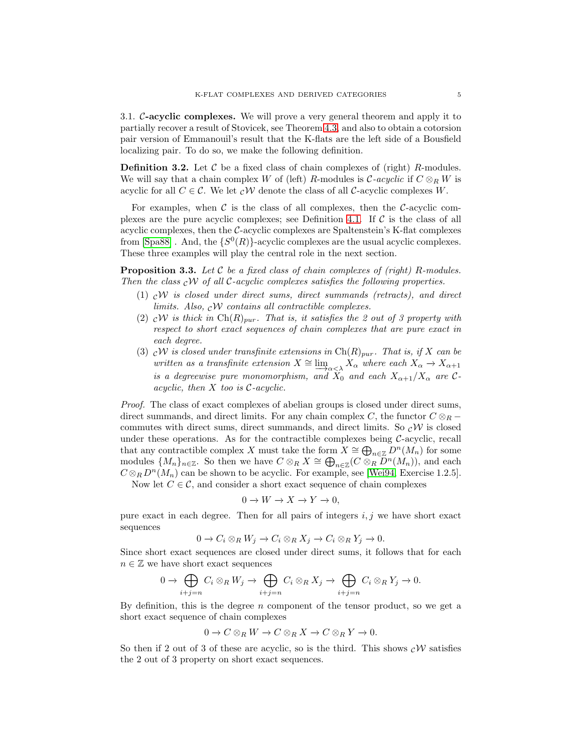3.1. C-acyclic complexes. We will prove a very general theorem and apply it to partially recover a result of Stovicek, see Theorem [4.3,](#page-8-0) and also to obtain a cotorsion pair version of Emmanouil's result that the K-flats are the left side of a Bousfield localizing pair. To do so, we make the following definition.

**Definition 3.2.** Let  $\mathcal C$  be a fixed class of chain complexes of (right) R-modules. We will say that a chain complex W of (left) R-modules is  $C$ -acyclic if  $C \otimes_R W$  is acyclic for all  $C \in \mathcal{C}$ . We let  $\partial \mathcal{W}$  denote the class of all C-acyclic complexes W.

For examples, when  $\mathcal C$  is the class of all complexes, then the C-acyclic com-plexes are the pure acyclic complexes; see Definition [4.1.](#page-8-1) If  $\mathcal C$  is the class of all acyclic complexes, then the  $C$ -acyclic complexes are Spaltenstein's K-flat complexes from [\[Spa88\]](#page-15-0). And, the  $\{S^0(R)\}$ -acyclic complexes are the usual acyclic complexes. These three examples will play the central role in the next section.

<span id="page-4-0"></span>**Proposition 3.3.** Let C be a fixed class of chain complexes of (right) R-modules. Then the class  $cW$  of all C-acyclic complexes satisfies the following properties.

- (1)  $cW$  is closed under direct sums, direct summands (retracts), and direct limits. Also,  $\partial \mathcal{W}$  contains all contractible complexes.
- (2)  $\mathcal{C} \mathcal{W}$  is thick in  $\mathrm{Ch}(R)_{pur}$ . That is, it satisfies the 2 out of 3 property with respect to short exact sequences of chain complexes that are pure exact in each degree.
- (3)  $\mathcal{C}W$  is closed under transfinite extensions in Ch(R)<sub>pur</sub>. That is, if X can be written as a transfinite extension  $X \cong \lim_{\alpha \leq \lambda} X_{\alpha}$  where each  $X_{\alpha} \to X_{\alpha+1}$ is a degreewise pure monomorphism, and  $\overline{X}_0$  and each  $X_{\alpha+1}/X_{\alpha}$  are Cacyclic, then  $X$  too is  $\mathcal{C}$ -acyclic.

Proof. The class of exact complexes of abelian groups is closed under direct sums, direct summands, and direct limits. For any chain complex C, the functor  $C \otimes_R$ commutes with direct sums, direct summands, and direct limits. So  $\mathcal{C}W$  is closed under these operations. As for the contractible complexes being  $C$ -acyclic, recall that any contractible complex X must take the form  $X \cong \bigoplus_{n \in \mathbb{Z}} D^n(M_n)$  for some modules  $\{M_n\}_{n\in\mathbb{Z}}$ . So then we have  $C\otimes_R X \cong \bigoplus_{n\in\mathbb{Z}}(C\otimes_R D^n(M_n))$ , and each  $C \otimes_R D^n(M_n)$  can be shown to be acyclic. For example, see [\[Wei94,](#page-15-2) Exercise 1.2.5].

Now let  $C \in \mathcal{C}$ , and consider a short exact sequence of chain complexes

$$
0 \to W \to X \to Y \to 0,
$$

pure exact in each degree. Then for all pairs of integers  $i, j$  we have short exact sequences

$$
0 \to C_i \otimes_R W_j \to C_i \otimes_R X_j \to C_i \otimes_R Y_j \to 0.
$$

Since short exact sequences are closed under direct sums, it follows that for each  $n \in \mathbb{Z}$  we have short exact sequences

$$
0 \to \bigoplus_{i+j=n} C_i \otimes_R W_j \to \bigoplus_{i+j=n} C_i \otimes_R X_j \to \bigoplus_{i+j=n} C_i \otimes_R Y_j \to 0.
$$

By definition, this is the degree  $n$  component of the tensor product, so we get a short exact sequence of chain complexes

$$
0 \to C \otimes_R W \to C \otimes_R X \to C \otimes_R Y \to 0.
$$

So then if 2 out of 3 of these are acyclic, so is the third. This shows  $c\mathcal{W}$  satisfies the 2 out of 3 property on short exact sequences.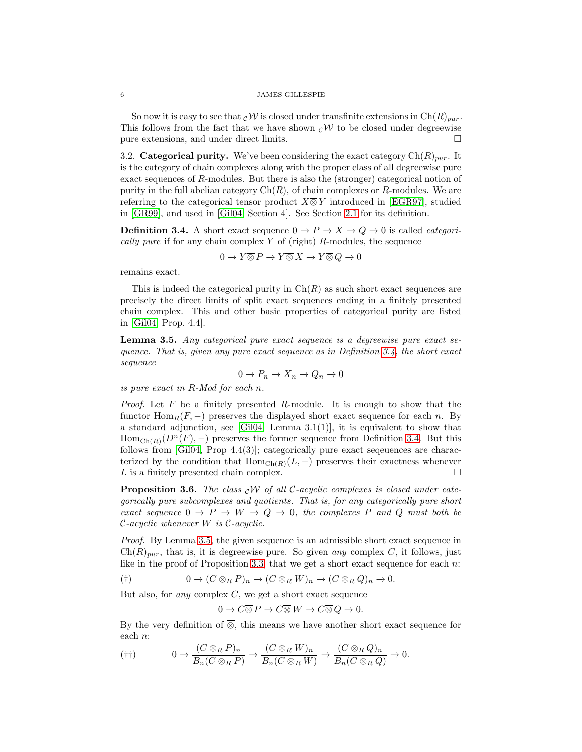So now it is easy to see that  $\mathcal{C}W$  is closed under transfinite extensions in  $\mathrm{Ch}(R)_{pur}$ . This follows from the fact that we have shown  $c\mathcal{W}$  to be closed under degreewise pure extensions, and under direct limits.  $\square$ 

3.2. Categorical purity. We've been considering the exact category  $\text{Ch}(R)_{pur}$ . It is the category of chain complexes along with the proper class of all degreewise pure exact sequences of R-modules. But there is also the (stronger) categorical notion of purity in the full abelian category  $Ch(R)$ , of chain complexes or R-modules. We are referring to the categorical tensor product  $X\overline{\otimes} Y$  introduced in [\[EGR97\]](#page-14-3), studied in [\[GR99\]](#page-14-4), and used in [\[Gil04,](#page-14-10) Section 4]. See Section [2.1](#page-2-0) for its definition.

<span id="page-5-0"></span>**Definition 3.4.** A short exact sequence  $0 \to P \to X \to Q \to 0$  is called *categori*cally pure if for any chain complex  $Y$  of (right) R-modules, the sequence

$$
0 \to Y \overline{\otimes} P \to Y \overline{\otimes} X \to Y \overline{\otimes} Q \to 0
$$

remains exact.

This is indeed the categorical purity in  $Ch(R)$  as such short exact sequences are precisely the direct limits of split exact sequences ending in a finitely presented chain complex. This and other basic properties of categorical purity are listed in [\[Gil04,](#page-14-10) Prop. 4.4].

<span id="page-5-1"></span>Lemma 3.5. Any categorical pure exact sequence is a degreewise pure exact sequence. That is, given any pure exact sequence as in Definition [3.4,](#page-5-0) the short exact sequence

$$
0 \to P_n \to X_n \to Q_n \to 0
$$

is pure exact in R-Mod for each n.

*Proof.* Let  $F$  be a finitely presented  $R$ -module. It is enough to show that the functor Hom<sub>R</sub> $(F, -)$  preserves the displayed short exact sequence for each n. By a standard adjunction, see  $[G104, \text{ Lemma } 3.1(1)],$  it is equivalent to show that  $Hom_{Ch(R)}(D^n(F), -)$  preserves the former sequence from Definition [3.4.](#page-5-0) But this follows from [\[Gil04,](#page-14-10) Prop 4.4(3)]; categorically pure exact seqeuences are characterized by the condition that  $Hom_{Ch(R)}(L, -)$  preserves their exactness whenever  $L$  is a finitely presented chain complex.  $\Box$ 

<span id="page-5-4"></span>**Proposition 3.6.** The class  $\partial V$  of all C-acyclic complexes is closed under categorically pure subcomplexes and quotients. That is, for any categorically pure short exact sequence  $0 \to P \to W \to Q \to 0$ , the complexes P and Q must both be  $\mathcal{C}$ -acyclic whenever W is  $\mathcal{C}$ -acyclic.

Proof. By Lemma [3.5,](#page-5-1) the given sequence is an admissible short exact sequence in  $Ch(R)_{pur}$ , that is, it is degreewise pure. So given any complex C, it follows, just like in the proof of Proposition [3.3,](#page-4-0) that we get a short exact sequence for each  $n$ :

<span id="page-5-2"></span>
$$
(\dagger) \qquad \qquad 0 \to (C \otimes_R P)_n \to (C \otimes_R W)_n \to (C \otimes_R Q)_n \to 0.
$$

But also, for *any* complex  $C$ , we get a short exact sequence

$$
0 \to C \overline{\otimes} P \to C \overline{\otimes} W \to C \overline{\otimes} Q \to 0.
$$

By the very definition of  $\overline{\otimes}$ , this means we have another short exact sequence for each n:

<span id="page-5-3"></span>
$$
(\dagger\dagger) \qquad \qquad 0 \to \frac{(C \otimes_R P)_n}{B_n(C \otimes_R P)} \to \frac{(C \otimes_R W)_n}{B_n(C \otimes_R W)} \to \frac{(C \otimes_R Q)_n}{B_n(C \otimes_R Q)} \to 0.
$$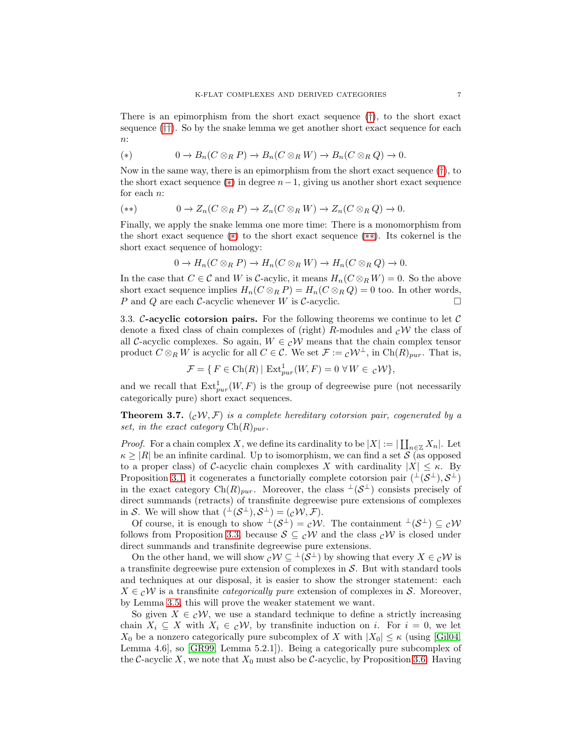There is an epimorphism from the short exact sequence ([†](#page-5-2)), to the short exact sequence ([††](#page-5-3)). So by the snake lemma we get another short exact sequence for each  $n$ :

<span id="page-6-1"></span>
$$
(*) \qquad \qquad 0 \to B_n(C \otimes_R P) \to B_n(C \otimes_R W) \to B_n(C \otimes_R Q) \to 0.
$$

Now in the same way, there is an epimorphism from the short exact sequence  $(\dagger)$ , to the short exact sequence ( $\ast$ ) in degree  $n-1$ , giving us another short exact sequence for each n:

<span id="page-6-2"></span>
$$
(**) \qquad \qquad 0 \to Z_n(C \otimes_R P) \to Z_n(C \otimes_R W) \to Z_n(C \otimes_R Q) \to 0.
$$

Finally, we apply the snake lemma one more time: There is a monomorphism from the short exact sequence ([∗](#page-6-1)) to the short exact sequence ([∗∗](#page-6-2)). Its cokernel is the short exact sequence of homology:

$$
0 \to H_n(C \otimes_R P) \to H_n(C \otimes_R W) \to H_n(C \otimes_R Q) \to 0.
$$

In the case that  $C \in \mathcal{C}$  and W is C-acylic, it means  $H_n(C \otimes_R W) = 0$ . So the above short exact sequence implies  $H_n(C \otimes_R P) = H_n(C \otimes_R Q) = 0$  too. In other words, P and Q are each  $C$ -acyclic whenever W is  $C$ -acyclic.

3.3. C-acyclic cotorsion pairs. For the following theorems we continue to let  $\mathcal C$ denote a fixed class of chain complexes of (right) R-modules and  $\partial W$  the class of all C-acyclic complexes. So again,  $W \in c\mathcal{W}$  means that the chain complex tensor product  $C \otimes_R W$  is acyclic for all  $C \in \mathcal{C}$ . We set  $\mathcal{F} := \mathcal{C}W^{\perp}$ , in  $\text{Ch}(R)_{pur}$ . That is,

$$
\mathcal{F} = \{ F \in \text{Ch}(R) \mid \text{Ext}^1_{pur}(W, F) = 0 \,\,\forall \, W \in \,{}_{\mathcal{C}}\mathcal{W} \},
$$

and we recall that  $\text{Ext}^1_{pur}(W, F)$  is the group of degreewise pure (not necessarily categorically pure) short exact sequences.

<span id="page-6-0"></span>**Theorem 3.7.**  $(cW, \mathcal{F})$  is a complete hereditary cotorsion pair, cogenerated by a set, in the exact category  $\text{Ch}(R)_{\text{pur}}$ .

*Proof.* For a chain complex X, we define its cardinality to be  $|X| := |\coprod_{n \in \mathbb{Z}} X_n|$ . Let  $\kappa \geq |R|$  be an infinite cardinal. Up to isomorphism, we can find a set S (as opposed to a proper class) of C-acyclic chain complexes X with cardinality  $|X| \leq \kappa$ . By Proposition [3.1,](#page-3-0) it cogenerates a functorially complete cotorsion pair  $({}^{\perp}(\mathcal{S}^{\perp}), \mathcal{S}^{\perp})$ in the exact category  $\text{Ch}(R)_{pur}$ . Moreover, the class  $\perp (\mathcal{S}^{\perp})$  consists precisely of direct summands (retracts) of transfinite degreewise pure extensions of complexes in S. We will show that  $({}^{\perp}(\mathcal{S}^{\perp}), \mathcal{S}^{\perp}) = ({}_{\mathcal{C}}\mathcal{W}, \mathcal{F}).$ 

Of course, it is enough to show  $\perp(S^{\perp}) = c\mathcal{W}$ . The containment  $\perp(S^{\perp}) \subseteq c\mathcal{W}$ follows from Proposition [3.3,](#page-4-0) because  $S \subseteq cW$  and the class  $cW$  is closed under direct summands and transfinite degreewise pure extensions.

On the other hand, we will show  $c \mathcal{W} \subseteq {}^{\perp}(\mathcal{S}^{\perp})$  by showing that every  $X \in c \mathcal{W}$  is a transfinite degreewise pure extension of complexes in  $S$ . But with standard tools and techniques at our disposal, it is easier to show the stronger statement: each  $X \in c\mathcal{W}$  is a transfinite *categorically pure* extension of complexes in S. Moreover, by Lemma [3.5,](#page-5-1) this will prove the weaker statement we want.

So given  $X \in \mathcal{CN}$ , we use a standard technique to define a strictly increasing chain  $X_i \subseteq X$  with  $X_i \in \mathcal{CN}$ , by transfinite induction on i. For  $i = 0$ , we let  $X_0$  be a nonzero categorically pure subcomplex of X with  $|X_0| \leq \kappa$  (using [\[Gil04,](#page-14-10) Lemma 4.6], so [\[GR99,](#page-14-4) Lemma 5.2.1]). Being a categorically pure subcomplex of the C-acyclic X, we note that  $X_0$  must also be C-acyclic, by Proposition [3.6.](#page-5-4) Having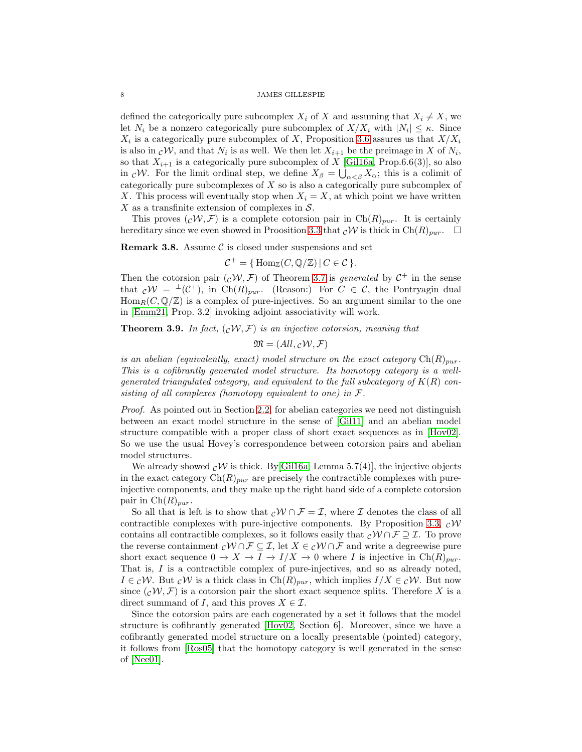defined the categorically pure subcomplex  $X_i$  of X and assuming that  $X_i \neq X$ , we let  $N_i$  be a nonzero categorically pure subcomplex of  $X/X_i$  with  $|N_i| \leq \kappa$ . Since  $X_i$  is a categorically pure subcomplex of X, Proposition [3.6](#page-5-4) assures us that  $X/X_i$ is also in  $\mathcal{C}W$ , and that  $N_i$  is as well. We then let  $X_{i+1}$  be the preimage in X of  $N_i$ , so that  $X_{i+1}$  is a categorically pure subcomplex of X [\[Gil16a,](#page-14-9) Prop.6.6(3)], so also in cW. For the limit ordinal step, we define  $X_{\beta} = \bigcup_{\alpha < \beta}^{\beta} X_{\alpha}$ ; this is a colimit of categorically pure subcomplexes of X so is also a categorically pure subcomplex of X. This process will eventually stop when  $X_i = X$ , at which point we have written X as a transfinite extension of complexes in  $S$ .

This proves  $(cW, \mathcal{F})$  is a complete cotorsion pair in Ch $(R)_{pur}$ . It is certainly hereditary since we even showed in Proosition [3.3](#page-4-0) that  $\mathcal{C}W$  is thick in  $\text{Ch}(R)_{pur}$ .

**Remark 3.8.** Assume  $\mathcal{C}$  is closed under suspensions and set

$$
C^+ = \{ \operatorname{Hom}_{\mathbb{Z}}(C, \mathbb{Q}/\mathbb{Z}) \, | \, C \in \mathcal{C} \}.
$$

Then the cotorsion pair  $(cW, \mathcal{F})$  of Theorem [3.7](#page-6-0) is *generated* by  $C^+$  in the sense that  $c\mathcal{W} = {}^{\perp}(\mathcal{C}^+),$  in Ch $(R)_{pur}$ . (Reason:) For  $C \in \mathcal{C}$ , the Pontryagin dual  $\text{Hom}_R(C, \mathbb{Q}/\mathbb{Z})$  is a complex of pure-injectives. So an argument similar to the one in [\[Emm21,](#page-14-0) Prop. 3.2] invoking adjoint associativity will work.

<span id="page-7-0"></span>**Theorem 3.9.** In fact,  $(cW, \mathcal{F})$  is an injective cotorsion, meaning that

 $\mathfrak{M} = (All, cW, \mathcal{F})$ 

is an abelian (equivalently, exact) model structure on the exact category  $\text{Ch}(R)_{pur}$ . This is a cofibrantly generated model structure. Its homotopy category is a wellgenerated triangulated category, and equivalent to the full subcategory of  $K(R)$  consisting of all complexes (homotopy equivalent to one) in F.

Proof. As pointed out in Section [2.2,](#page-3-1) for abelian categories we need not distinguish between an exact model structure in the sense of [Gil11] and an abelian model structure compatible with a proper class of short exact sequences as in [\[Hov02\]](#page-14-1). So we use the usual Hovey's correspondence between cotorsion pairs and abelian model structures.

We already showed  $c\mathcal{W}$  is thick. By Gill6a, Lemma 5.7(4), the injective objects in the exact category  $Ch(R)_{pur}$  are precisely the contractible complexes with pureinjective components, and they make up the right hand side of a complete cotorsion pair in  $\mathrm{Ch}(R)_{pur}.$ 

So all that is left is to show that  $\mathcal{C}W \cap \mathcal{F} = \mathcal{I}$ , where  $\mathcal I$  denotes the class of all contractible complexes with pure-injective components. By Proposition [3.3,](#page-4-0)  $c\mathcal{W}$ contains all contractible complexes, so it follows easily that  $\mathcal{C}W \cap \mathcal{F} \supseteq \mathcal{I}$ . To prove the reverse containment  $c \mathcal{W} \cap \mathcal{F} \subseteq \mathcal{I}$ , let  $X \in c \mathcal{W} \cap \mathcal{F}$  and write a degreewise pure short exact sequence  $0 \to X \to I \to I/X \to 0$  where I is injective in Ch(R)<sub>pur</sub>. That is, I is a contractible complex of pure-injectives, and so as already noted,  $I \in \mathcal{C}W$ . But  $\mathcal{C}W$  is a thick class in Ch $(R)_{pur}$ , which implies  $I/X \in \mathcal{C}W$ . But now since  $(c, W, \mathcal{F})$  is a cotorsion pair the short exact sequence splits. Therefore X is a direct summand of I, and this proves  $X \in \mathcal{I}$ .

Since the cotorsion pairs are each cogenerated by a set it follows that the model structure is cofibrantly generated [\[Hov02,](#page-14-1) Section 6]. Moreover, since we have a cofibrantly generated model structure on a locally presentable (pointed) category, it follows from [Ros05] that the homotopy category is well generated in the sense of [Nee01].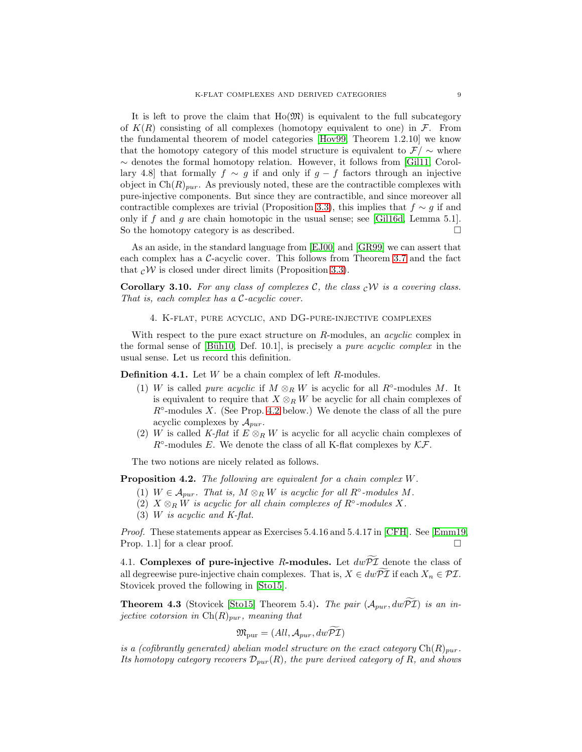It is left to prove the claim that  $Ho(\mathfrak{M})$  is equivalent to the full subcategory of  $K(R)$  consisting of all complexes (homotopy equivalent to one) in  $\mathcal{F}$ . From the fundamental theorem of model categories [\[Hov99,](#page-14-11) Theorem 1.2.10] we know that the homotopy category of this model structure is equivalent to  $\mathcal{F}/\sim$  where ∼ denotes the formal homotopy relation. However, it follows from [Gil11, Corollary 4.8] that formally  $f \sim g$  if and only if  $g - f$  factors through an injective object in  $\text{Ch}(R)_{pur}$ . As previously noted, these are the contractible complexes with pure-injective components. But since they are contractible, and since moreover all contractible complexes are trivial (Proposition [3.3\)](#page-4-0), this implies that  $f \sim g$  if and only if  $f$  and  $g$  are chain homotopic in the usual sense; see [\[Gil16d,](#page-14-7) Lemma 5.1]. So the homotopy category is as described.

As an aside, in the standard language from [\[EJ00\]](#page-14-5) and [\[GR99\]](#page-14-4) we can assert that each complex has a C-acyclic cover. This follows from Theorem [3.7](#page-6-0) and the fact that  $c\mathcal{W}$  is closed under direct limits (Proposition [3.3\)](#page-4-0).

**Corollary 3.10.** For any class of complexes C, the class  $\partial_t \mathcal{W}$  is a covering class. That is, each complex has a C-acyclic cover.

4. K-flat, pure acyclic, and DG-pure-injective complexes

With respect to the pure exact structure on R-modules, an *acyclic* complex in the formal sense of [Büh10, Def. 10.1], is precisely a *pure acyclic complex* in the usual sense. Let us record this definition.

<span id="page-8-1"></span>**Definition 4.1.** Let  $W$  be a chain complex of left  $R$ -modules.

- (1) W is called *pure acyclic* if  $M \otimes_R W$  is acyclic for all  $R^\circ$ -modules M. It is equivalent to require that  $X \otimes_R W$  be acyclic for all chain complexes of  $R<sup>o</sup>$ -modules X. (See Prop. [4.2](#page-8-2) below.) We denote the class of all the pure acyclic complexes by  $A_{pur}$ .
- (2) W is called K-flat if  $E \otimes_R W$  is acyclic for all acyclic chain complexes of  $R^{\circ}$ -modules E. We denote the class of all K-flat complexes by  $K\mathcal{F}$ .

The two notions are nicely related as follows.

<span id="page-8-2"></span>Proposition 4.2. The following are equivalent for a chain complex W.

- (1)  $W \in \mathcal{A}_{pur}$ . That is,  $M \otimes_R W$  is acyclic for all  $R^{\circ}$ -modules M.
- (2)  $X \otimes_R W$  is acyclic for all chain complexes of  $R^\circ$ -modules X.
- (3) W is acyclic and K-flat.

Proof. These statements appear as Exercises 5.4.16 and 5.4.17 in [\[CFH\]](#page-14-12). See [\[Emm19,](#page-14-13) Prop. 1.1 for a clear proof.

4.1. Complexes of pure-injective R-modules. Let  $dw\overline{P\mathcal{I}}$  denote the class of all degreewise pure-injective chain complexes. That is,  $X \in dw\overline{p\mathcal{I}}$  if each  $X_n \in \mathcal{PI}$ . Stovicek proved the following in [\[Sto15\]](#page-15-3).

<span id="page-8-0"></span>**Theorem 4.3** (Stovicek [\[Sto15\]](#page-15-3) Theorem 5.4). The pair  $(A_{pur}, dw\overline{P\mathcal{I}})$  is an injective cotorsion in  $\mathrm{Ch}(R)_{pur}$ , meaning that

$$
\mathfrak{M}_{\text{pur}} = (\text{All}, \mathcal{A}_{\text{pur}}, dw \widetilde{\mathcal{PI}})
$$

is a (cofibrantly generated) abelian model structure on the exact category  $\text{Ch}(R)_{pur}$ . Its homotopy category recovers  $\mathcal{D}_{pur}(R)$ , the pure derived category of R, and shows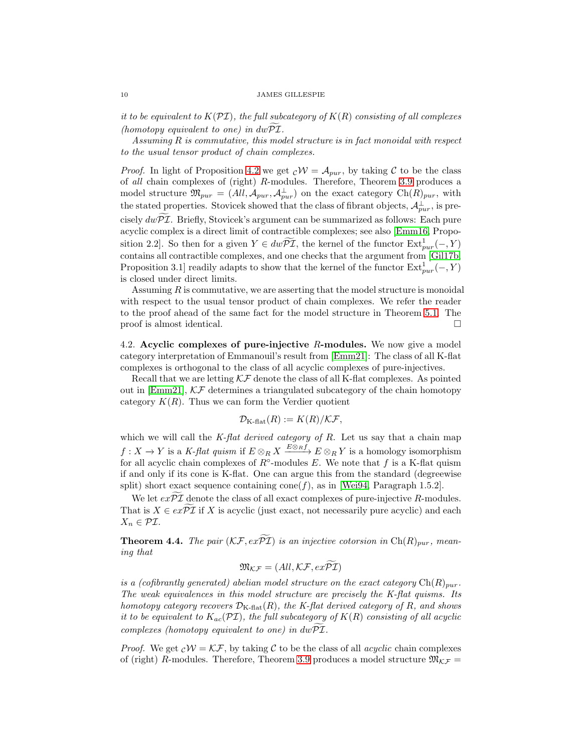it to be equivalent to  $K(\mathcal{PI})$ , the full subcategory of  $K(R)$  consisting of all complexes (homotopy equivalent to one) in  $dw\mathcal{PI}$ .

Assuming  $R$  is commutative, this model structure is in fact monoidal with respect to the usual tensor product of chain complexes.

*Proof.* In light of Proposition [4.2](#page-8-2) we get  $cW = A_{pur}$ , by taking C to be the class of all chain complexes of (right) R-modules. Therefore, Theorem [3.9](#page-7-0) produces a model structure  $\mathfrak{M}_{pur} = (All, \mathcal{A}_{pur}, \mathcal{A}_{pur}^{\perp})$  on the exact category  $Ch(R)_{pur}$ , with the stated properties. Stovicek showed that the class of fibrant objects,  $\mathcal{A}_{pur}^{\perp}$ , is precisely  $dw\overline{PL}$ . Briefly, Stovicek's argument can be summarized as follows: Each pure acyclic complex is a direct limit of contractible complexes; see also [\[Emm16,](#page-14-14) Proposition 2.2]. So then for a given  $Y \in dw\widetilde{P\mathcal{I}}$ , the kernel of the functor  $\text{Ext}^1_{pur}(-, Y)$ contains all contractible complexes, and one checks that the argument from [\[Gil17b,](#page-14-15) Proposition 3.1] readily adapts to show that the kernel of the functor  $\text{Ext}^1_{pur}(-, Y)$ is closed under direct limits.

Assuming  $R$  is commutative, we are asserting that the model structure is monoidal with respect to the usual tensor product of chain complexes. We refer the reader to the proof ahead of the same fact for the model structure in Theorem [5.1.](#page-12-0) The proof is almost identical.

4.2. Acyclic complexes of pure-injective  $R$ -modules. We now give a model category interpretation of Emmanouil's result from [\[Emm21\]](#page-14-0): The class of all K-flat complexes is orthogonal to the class of all acyclic complexes of pure-injectives.

Recall that we are letting  $\mathcal{K}\mathcal{F}$  denote the class of all K-flat complexes. As pointed out in [\[Emm21\]](#page-14-0),  $\mathcal{K}F$  determines a triangulated subcategory of the chain homotopy category  $K(R)$ . Thus we can form the Verdier quotient

$$
\mathcal{D}_{\mathrm{K\text{-}flat}}(R) := K(R)/\mathcal{K}\mathcal{F},
$$

which we will call the  $K$ -flat derived category of  $R$ . Let us say that a chain map  $f: X \to Y$  is a K-flat quism if  $E \otimes_R X \xrightarrow{E \otimes_R f} E \otimes_R Y$  is a homology isomorphism for all acyclic chain complexes of  $R^{\circ}$ -modules E. We note that f is a K-flat quism if and only if its cone is K-flat. One can argue this from the standard (degreewise split) short exact sequence containing  $cone(f)$ , as in [\[Wei94,](#page-15-2) Paragraph 1.5.2].

We let  $ex\widetilde{\mathcal{PI}}$  denote the class of all exact complexes of pure-injective R-modules. That is  $X \in ex\widetilde{P\mathcal{I}}$  if X is acyclic (just exact, not necessarily pure acyclic) and each  $X_n \in \mathcal{PI}.$ 

<span id="page-9-0"></span>**Theorem 4.4.** The pair  $(\mathcal{KF}, e\mathcal{F}\widetilde{\mathcal{PI}})$  is an injective cotorsion in  $Ch(R)_{pur}$ , meaning that

$$
\mathfrak{M}_{\mathcal{K}\mathcal{F}}=(All,\mathcal{K}\mathcal{F},ex\widetilde{\mathcal{PI}})
$$

is a (cofibrantly generated) abelian model structure on the exact category  $\mathrm{Ch}(R)_{pur}$ . The weak equivalences in this model structure are precisely the K-flat quisms. Its homotopy category recovers  $\mathcal{D}_{K\text{-flat}}(R)$ , the K-flat derived category of R, and shows it to be equivalent to  $K_{ac}(\mathcal{PI})$ , the full subcategory of  $K(R)$  consisting of all acyclic complexes (homotopy equivalent to one) in  $dw\mathcal{PI}$ .

*Proof.* We get  $cW = \mathcal{KF}$ , by taking C to be the class of all *acyclic* chain complexes of (right) R-modules. Therefore, Theorem [3.9](#page-7-0) produces a model structure  $\mathfrak{M}_{\mathcal{K}\mathcal{F}} =$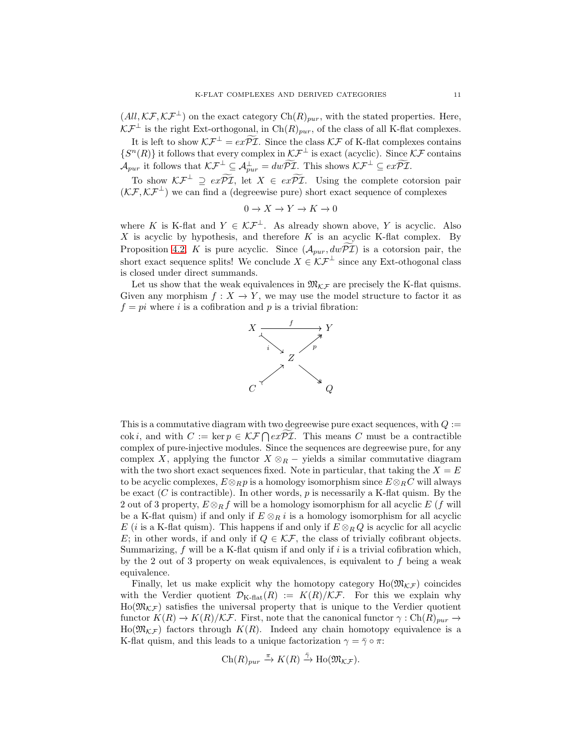$(All, \mathcal{KF}, \mathcal{KF}^{\perp})$  on the exact category  $Ch(R)_{pur}$ , with the stated properties. Here,  $\mathcal{KF}^{\perp}$  is the right Ext-orthogonal, in Ch $(R)_{pur}$ , of the class of all K-flat complexes.

It is left to show  $\mathcal{K} \mathcal{F}^{\perp} = e x \widetilde{\mathcal{P} \mathcal{I}}$ . Since the class  $\mathcal{K} \mathcal{F}$  of K-flat complexes contains  $\{S^n(R)\}\$ it follows that every complex in  $\mathcal{KF}^{\perp}$  is exact (acyclic). Since  $\mathcal{KF}$  contains  $\mathcal{A}_{pur}$  it follows that  $\mathcal{KF}^{\perp} \subseteq \mathcal{A}_{pur}^{\perp} = dw\widetilde{\mathcal{PI}}$ . This shows  $\mathcal{KF}^{\perp} \subseteq ex\widetilde{\mathcal{PI}}$ .

To show  $\mathcal{K} \mathcal{F}^{\perp} \supseteq ex\widetilde{\mathcal{PI}}$ , let  $X \in ex\widetilde{\mathcal{PI}}$ . Using the complete cotorsion pair  $(\mathcal{K} \mathcal{F}, \mathcal{K} \mathcal{F}^{\perp})$  we can find a (degreewise pure) short exact sequence of complexes

$$
0 \to X \to Y \to K \to 0
$$

where K is K-flat and  $Y \in \mathcal{KF}^{\perp}$ . As already shown above, Y is acyclic. Also  $X$  is acyclic by hypothesis, and therefore  $K$  is an acyclic K-flat complex. By Proposition [4.2,](#page-8-2) K is pure acyclic. Since  $(\mathcal{A}_{pur}, dw\widetilde{\mathcal{PI}})$  is a cotorsion pair, the short exact sequence splits! We conclude  $X \in \mathcal{KF}^{\perp}$  since any Ext-othogonal class is closed under direct summands.

Let us show that the weak equivalences in  $\mathfrak{M}_{\mathcal{K}\mathcal{F}}$  are precisely the K-flat quisms. Given any morphism  $f: X \to Y$ , we may use the model structure to factor it as  $f = pi$  where i is a cofibration and p is a trivial fibration:



This is a commutative diagram with two degreewise pure exact sequences, with  $Q :=$ cok *i*, and with  $C := \ker p \in \mathcal{KF} \cap ex\widetilde{PL}$ . This means C must be a contractible complex of pure-injective modules. Since the sequences are degreewise pure, for any complex X, applying the functor  $X \otimes_R -$  yields a similar commutative diagram with the two short exact sequences fixed. Note in particular, that taking the  $X = E$ to be acyclic complexes,  $E \otimes_R p$  is a homology isomorphism since  $E \otimes_R C$  will always be exact  $(C$  is contractible). In other words,  $p$  is necessarily a K-flat quism. By the 2 out of 3 property,  $E \otimes_R f$  will be a homology isomorphism for all acyclic E (f will be a K-flat quism) if and only if  $E \otimes_R i$  is a homology isomorphism for all acyclic E (i is a K-flat quism). This happens if and only if  $E \otimes_R Q$  is acyclic for all acyclic E; in other words, if and only if  $Q \in \mathcal{KF}$ , the class of trivially cofibrant objects. Summarizing,  $f$  will be a K-flat quism if and only if  $i$  is a trivial cofibration which, by the 2 out of 3 property on weak equivalences, is equivalent to f being a weak equivalence.

Finally, let us make explicit why the homotopy category  $Ho(\mathfrak{M}_{\mathcal{KF}})$  coincides with the Verdier quotient  $\mathcal{D}_{K\text{-flat}}(R) := K(R)/\mathcal{K}\mathcal{F}$ . For this we explain why  $\text{Ho}(\mathfrak{M}_{\mathcal{K}\mathcal{F}})$  satisfies the universal property that is unique to the Verdier quotient functor  $K(R) \to K(R)/\mathcal{K}F$ . First, note that the canonical functor  $\gamma : Ch(R)_{pur} \to$  $\text{Ho}(\mathfrak{M}_{\mathcal{K}\mathcal{F}})$  factors through  $K(R)$ . Indeed any chain homotopy equivalence is a K-flat quism, and this leads to a unique factorization  $\gamma = \bar{\gamma} \circ \pi$ :

$$
Ch(R)_{pur} \xrightarrow{\pi} K(R) \xrightarrow{\bar{\gamma}} Ho(\mathfrak{M}_{\mathcal{KF}}).
$$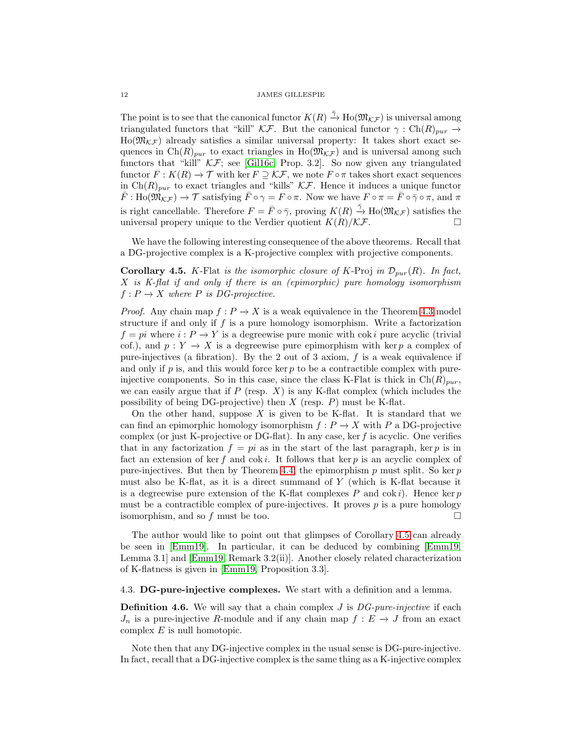The point is to see that the canonical functor  $K(R) \stackrel{\tilde{\gamma}}{\rightarrow} \text{Ho}(\mathfrak{M}_{\mathcal{KF}})$  is universal among triangulated functors that "kill" KF. But the canonical functor  $\gamma : Ch(R)_{\text{mur}} \rightarrow$  $Ho(\mathfrak{M}_{\mathcal{K}\mathcal{F}})$  already satisfies a similar universal property: It takes short exact sequences in Ch(R)<sub>pur</sub> to exact triangles in Ho( $\mathfrak{M}_{\mathcal{K}\mathcal{F}}$ ) and is universal among such functors that "kill"  $\mathcal{K}F$ ; see [\[Gil16c,](#page-14-16) Prop. 3.2]. So now given any triangulated functor  $F: K(R) \to \mathcal{T}$  with ker  $F \supseteq \mathcal{KF}$ , we note  $F \circ \pi$  takes short exact sequences in  $\text{Ch}(R)_{pur}$  to exact triangles and "kills" KF. Hence it induces a unique functor  $\bar{F}: \text{Ho}(\mathfrak{M}_{\mathcal{KF}}) \to \mathcal{T}$  satisfying  $\bar{F} \circ \gamma = F \circ \pi$ . Now we have  $F \circ \pi = \bar{F} \circ \bar{\gamma} \circ \pi$ , and  $\pi$ is right cancellable. Therefore  $F = \bar{F} \circ \bar{\gamma}$ , proving  $K(R) \stackrel{\bar{\gamma}}{\to} \text{Ho}(\mathfrak{M}_{\mathcal{KF}})$  satisfies the universal propery unique to the Verdier quotient  $K(R)/\mathcal{K}F$ .

We have the following interesting consequence of the above theorems. Recall that a DG-projective complex is a K-projective complex with projective components.

<span id="page-11-0"></span>**Corollary 4.5.** K-Flat is the isomorphic closure of K-Proj in  $\mathcal{D}_{pur}(R)$ . In fact, X is K-flat if and only if there is an (epimorphic) pure homology isomorphism  $f: P \to X$  where P is DG-projective.

*Proof.* Any chain map  $f: P \to X$  is a weak equivalence in the Theorem [4.3](#page-8-0) model structure if and only if  $f$  is a pure homology isomorphism. Write a factorization  $f = pi$  where  $i : P \to Y$  is a degreewise pure monic with cok i pure acyclic (trivial cof.), and  $p: Y \to X$  is a degreewise pure epimorphism with ker p a complex of pure-injectives (a fibration). By the 2 out of 3 axiom,  $f$  is a weak equivalence if and only if  $p$  is, and this would force ker  $p$  to be a contractible complex with pureinjective components. So in this case, since the class K-Flat is thick in  $\text{Ch}(R)_{pur}$ , we can easily argue that if  $P$  (resp.  $X$ ) is any K-flat complex (which includes the possibility of being DG-projective) then  $X$  (resp.  $P$ ) must be K-flat.

On the other hand, suppose X is given to be K-flat. It is standard that we can find an epimorphic homology isomorphism  $f : P \to X$  with P a DG-projective complex (or just K-projective or DG-flat). In any case, ker  $f$  is acyclic. One verifies that in any factorization  $f = pi$  as in the start of the last paragraph, ker p is in fact an extension of ker f and  $\cot i$ . It follows that ker p is an acyclic complex of pure-injectives. But then by Theorem [4.4,](#page-9-0) the epimorphism  $p$  must split. So ker  $p$ must also be K-flat, as it is a direct summand of Y (which is K-flat because it is a degreewise pure extension of the K-flat complexes P and  $\cot i$ . Hence ker p must be a contractible complex of pure-injectives. It proves  $p$  is a pure homology isomorphism, and so  $f$  must be too.  $\Box$ 

The author would like to point out that glimpses of Corollary [4.5](#page-11-0) can already be seen in [\[Emm19\]](#page-14-13). In particular, it can be deduced by combining [\[Emm19,](#page-14-13) Lemma 3.1] and [\[Emm19,](#page-14-13) Remark 3.2(ii)]. Another closely related characterization of K-flatness is given in [\[Emm19,](#page-14-13) Proposition 3.3].

## 4.3. DG-pure-injective complexes. We start with a definition and a lemma.

**Definition 4.6.** We will say that a chain complex  $J$  is  $DG$ -pure-injective if each  $J_n$  is a pure-injective R-module and if any chain map  $f : E \to J$  from an exact complex  $E$  is null homotopic.

Note then that any DG-injective complex in the usual sense is DG-pure-injective. In fact, recall that a DG-injective complex is the same thing as a K-injective complex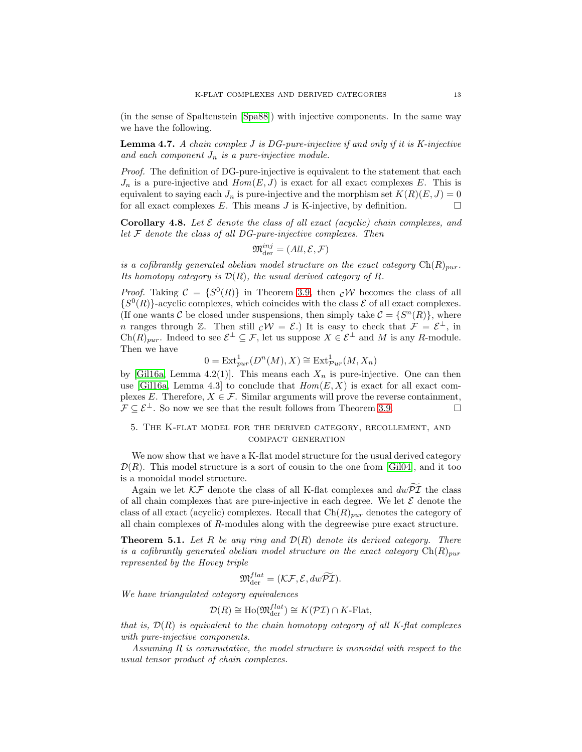(in the sense of Spaltenstein [\[Spa88\]](#page-15-0)) with injective components. In the same way we have the following.

**Lemma 4.7.** A chain complex  $J$  is DG-pure-injective if and only if it is K-injective and each component  $J_n$  is a pure-injective module.

Proof. The definition of DG-pure-injective is equivalent to the statement that each  $J_n$  is a pure-injective and  $Hom(E, J)$  is exact for all exact complexes E. This is equivalent to saying each  $J_n$  is pure-injective and the morphism set  $K(R)(E, J) = 0$ for all exact complexes E. This means J is K-injective, by definition.  $\Box$ 

<span id="page-12-1"></span>**Corollary 4.8.** Let  $\mathcal E$  denote the class of all exact (acyclic) chain complexes, and let  $F$  denote the class of all DG-pure-injective complexes. Then

$$
\mathfrak{M}^{inj}_{\text{der}} = (All, \mathcal{E}, \mathcal{F})
$$

is a cofibrantly generated abelian model structure on the exact category  $\text{Ch}(R)_{pur}$ . Its homotopy category is  $\mathcal{D}(R)$ , the usual derived category of R.

*Proof.* Taking  $C = \{S^0(R)\}\$ in Theorem [3.9,](#page-7-0) then  $c\mathcal{W}$  becomes the class of all  $\{S^0(R)\}$ -acyclic complexes, which coincides with the class  $\mathcal E$  of all exact complexes. (If one wants C be closed under suspensions, then simply take  $\mathcal{C} = \{S^n(R)\}\,$ , where n ranges through  $\mathbb{Z}$ . Then still  $c\mathcal{W} = \mathcal{E}$ .) It is easy to check that  $\mathcal{F} = \mathcal{E}^{\perp}$ , in  $Ch(R)_{pur}$ . Indeed to see  $\mathcal{E}^{\perp} \subseteq \mathcal{F}$ , let us suppose  $X \in \mathcal{E}^{\perp}$  and M is any R-module. Then we have

$$
0 = \text{Ext}^1_{pur}(D^n(M), X) \cong \text{Ext}^1_{pur}(M, X_n)
$$

by [\[Gil16a,](#page-14-9) Lemma 4.2(1)]. This means each  $X_n$  is pure-injective. One can then use [\[Gil16a,](#page-14-9) Lemma 4.3] to conclude that  $Hom(E, X)$  is exact for all exact complexes E. Therefore,  $X \in \mathcal{F}$ . Similar arguments will prove the reverse containment,  $\mathcal{F} \subset \mathcal{E}^{\perp}$ . So now we see that the result follows from Theorem [3.9.](#page-7-0)

# 5. The K-flat model for the derived category, recollement, and compact generation

We now show that we have a K-flat model structure for the usual derived category  $\mathcal{D}(R)$ . This model structure is a sort of cousin to the one from [\[Gil04\]](#page-14-10), and it too is a monoidal model structure.

Again we let  $\mathcal{K}\mathcal{F}$  denote the class of all K-flat complexes and  $dw\overline{P}\overline{\mathcal{I}}$  the class of all chain complexes that are pure-injective in each degree. We let  $\mathcal E$  denote the class of all exact (acyclic) complexes. Recall that  $Ch(R)_{pur}$  denotes the category of all chain complexes of R-modules along with the degreewise pure exact structure.

<span id="page-12-0"></span>**Theorem 5.1.** Let R be any ring and  $\mathcal{D}(R)$  denote its derived category. There is a cofibrantly generated abelian model structure on the exact category  $\text{Ch}(R)_{pur}$ represented by the Hovey triple

$$
\mathfrak{M}^{flat}_{\text{der}} = (\mathcal{K}\mathcal{F}, \mathcal{E}, dw\widetilde{\mathcal{PI}}).
$$

We have triangulated category equivalences

$$
\mathcal{D}(R) \cong \text{Ho}(\mathfrak{M}_{\text{der}}^{flat}) \cong K(\mathcal{PI}) \cap K\text{-Flat},
$$

that is,  $\mathcal{D}(R)$  is equivalent to the chain homotopy category of all K-flat complexes with pure-injective components.

Assuming R is commutative, the model structure is monoidal with respect to the usual tensor product of chain complexes.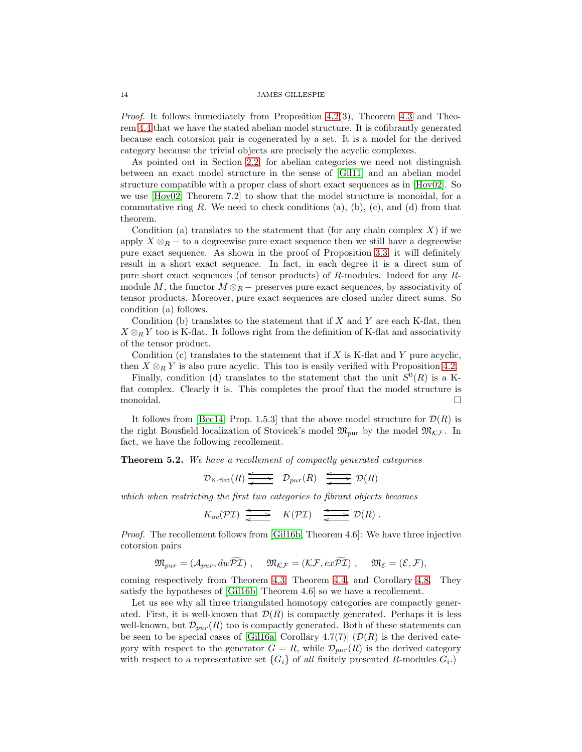Proof. It follows immediately from Proposition [4.2\(](#page-8-2)3), Theorem [4.3](#page-8-0) and Theorem [4.4](#page-9-0) that we have the stated abelian model structure. It is cofibrantly generated because each cotorsion pair is cogenerated by a set. It is a model for the derived category because the trivial objects are precisely the acyclic complexes.

As pointed out in Section [2.2,](#page-3-1) for abelian categories we need not distinguish between an exact model structure in the sense of [Gil11] and an abelian model structure compatible with a proper class of short exact sequences as in [\[Hov02\]](#page-14-1). So we use  $[Hov02, Theorem 7.2]$  to show that the model structure is monoidal, for a commutative ring  $R$ . We need to check conditions (a), (b), (c), and (d) from that theorem.

Condition (a) translates to the statement that (for any chain complex  $X$ ) if we apply  $X \otimes_R -$  to a degreewise pure exact sequence then we still have a degreewise pure exact sequence. As shown in the proof of Proposition [3.3,](#page-4-0) it will definitely result in a short exact sequence. In fact, in each degree it is a direct sum of pure short exact sequences (of tensor products) of R-modules. Indeed for any Rmodule M, the functor  $M \otimes_R -$  preserves pure exact sequences, by associativity of tensor products. Moreover, pure exact sequences are closed under direct sums. So condition (a) follows.

Condition (b) translates to the statement that if  $X$  and  $Y$  are each K-flat, then  $X \otimes_R Y$  too is K-flat. It follows right from the definition of K-flat and associativity of the tensor product.

Condition  $(c)$  translates to the statement that if X is K-flat and Y pure acyclic, then  $X \otimes_R Y$  is also pure acyclic. This too is easily verified with Proposition [4.2.](#page-8-2)

Finally, condition (d) translates to the statement that the unit  $S^0(R)$  is a Kflat complex. Clearly it is. This completes the proof that the model structure is monoidal.

It follows from [\[Bec14,](#page-14-17) Prop. 1.5.3] that the above model structure for  $\mathcal{D}(R)$  is the right Bousfield localization of Stovicek's model  $\mathfrak{M}_{\text{pur}}$  by the model  $\mathfrak{M}_{\mathcal{K}\mathcal{F}}$ . In fact, we have the following recollement.

<span id="page-13-0"></span>Theorem 5.2. We have a recollement of compactly generated categories

$$
\mathcal{D}_{K\text{-flat}}(R) \xrightarrow{\longleftarrow} \mathcal{D}_{pur}(R) \xrightarrow{\longleftarrow} \mathcal{D}(R)
$$

which when restricting the first two categories to fibrant objects becomes

$$
K_{ac}(\mathcal{PI}) \xrightarrow{\longleftarrow} K(\mathcal{PI}) \xrightarrow{\longleftarrow} \mathcal{D}(R) .
$$

Proof. The recollement follows from [\[Gil16b,](#page-14-18) Theorem 4.6]: We have three injective cotorsion pairs

$$
\mathfrak{M}_{pur} = (\mathcal{A}_{pur}, dw\widetilde{\mathcal{PI}}), \quad \mathfrak{M}_{\mathcal{KF}} = (\mathcal{KF}, ex\widetilde{\mathcal{PI}}), \quad \mathfrak{M}_{\mathcal{E}} = (\mathcal{E}, \mathcal{F}),
$$

coming respectively from Theorem [4.3,](#page-8-0) Theorem [4.4,](#page-9-0) and Corollary [4.8.](#page-12-1) They satisfy the hypotheses of [\[Gil16b,](#page-14-18) Theorem 4.6] so we have a recollement.

Let us see why all three triangulated homotopy categories are compactly generated. First, it is well-known that  $\mathcal{D}(R)$  is compactly generated. Perhaps it is less well-known, but  $\mathcal{D}_{pur}(R)$  too is compactly generated. Both of these statements can be seen to be special cases of [\[Gil16a,](#page-14-9) Corollary 4.7(7)]  $(\mathcal{D}(R)$  is the derived category with respect to the generator  $G = R$ , while  $\mathcal{D}_{pur}(R)$  is the derived category with respect to a representative set  $\{G_i\}$  of all finitely presented R-modules  $G_i$ .)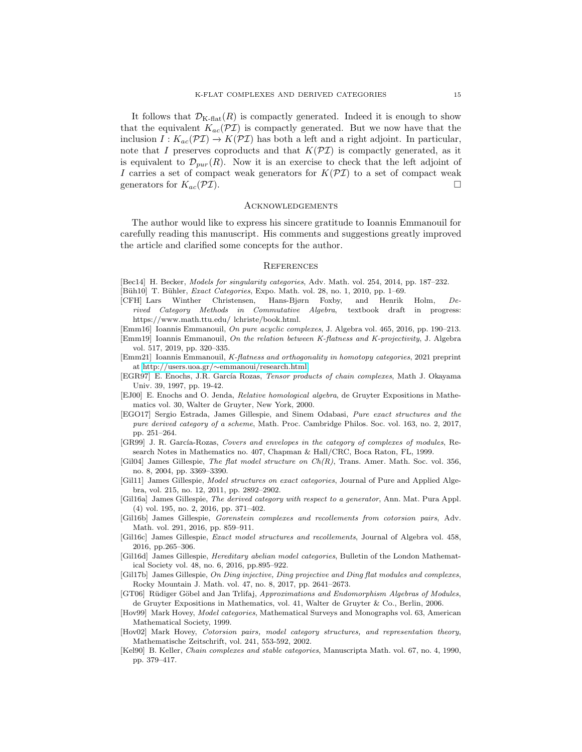It follows that  $\mathcal{D}_{K\text{-flat}}(R)$  is compactly generated. Indeed it is enough to show that the equivalent  $K_{ac}(\mathcal{PI})$  is compactly generated. But we now have that the inclusion  $I : K_{ac}(\mathcal{PI}) \to K(\mathcal{PI})$  has both a left and a right adjoint. In particular, note that I preserves coproducts and that  $K(\mathcal{PI})$  is compactly generated, as it is equivalent to  $\mathcal{D}_{pur}(R)$ . Now it is an exercise to check that the left adjoint of I carries a set of compact weak generators for  $K(\mathcal{PI})$  to a set of compact weak generators for  $K_{ac}(\mathcal{PI})$ .

### Acknowledgements

The author would like to express his sincere gratitude to Ioannis Emmanouil for carefully reading this manuscript. His comments and suggestions greatly improved the article and clarified some concepts for the author.

### **REFERENCES**

- <span id="page-14-17"></span>[Bec14] H. Becker, Models for singularity categories, Adv. Math. vol. 254, 2014, pp. 187–232.
- [Büh10] T. Bühler, *Exact Categories*, Expo. Math. vol. 28, no. 1, 2010, pp. 1–69.
- <span id="page-14-12"></span>[CFH] Lars Winther Christensen, Hans-Bjørn Foxby, and Henrik Holm, Derived Category Methods in Commutative Algebra, textbook draft in progress: https://www.math.ttu.edu/ lchriste/book.html.
- <span id="page-14-14"></span>[Emm16] Ioannis Emmanouil, On pure acyclic complexes, J. Algebra vol. 465, 2016, pp. 190–213.
- <span id="page-14-13"></span>[Emm19] Ioannis Emmanouil, On the relation between K-flatness and K-projectivity, J. Algebra vol. 517, 2019, pp. 320–335.
- <span id="page-14-0"></span>[Emm21] Ioannis Emmanouil, K-flatness and orthogonality in homotopy categories, 2021 preprint at http://users.uoa.gr/∼[emmanoui/research.html.](http://users.uoa.gr/~emmanoui/research.html)
- <span id="page-14-3"></span>[EGR97] E. Enochs, J.R. García Rozas, Tensor products of chain complexes, Math J. Okayama Univ. 39, 1997, pp. 19-42.
- <span id="page-14-5"></span>[EJ00] E. Enochs and O. Jenda, Relative homological algebra, de Gruyter Expositions in Mathematics vol. 30, Walter de Gruyter, New York, 2000.
- <span id="page-14-2"></span>[EGO17] Sergio Estrada, James Gillespie, and Sinem Odabasi, Pure exact structures and the pure derived category of a scheme, Math. Proc. Cambridge Philos. Soc. vol. 163, no. 2, 2017, pp. 251–264.
- <span id="page-14-4"></span>[GR99] J. R. García-Rozas, Covers and envelopes in the category of complexes of modules, Research Notes in Mathematics no. 407, Chapman & Hall/CRC, Boca Raton, FL, 1999.
- <span id="page-14-10"></span>[Gil04] James Gillespie, The flat model structure on Ch(R), Trans. Amer. Math. Soc. vol. 356, no. 8, 2004, pp. 3369–3390.
- [Gil11] James Gillespie, Model structures on exact categories, Journal of Pure and Applied Algebra, vol. 215, no. 12, 2011, pp. 2892–2902.
- <span id="page-14-9"></span>[Gil16a] James Gillespie, The derived category with respect to a generator, Ann. Mat. Pura Appl. (4) vol. 195, no. 2, 2016, pp. 371–402.
- <span id="page-14-18"></span>[Gil16b] James Gillespie, Gorenstein complexes and recollements from cotorsion pairs, Adv. Math. vol. 291, 2016, pp. 859–911.
- <span id="page-14-16"></span>[Gil16c] James Gillespie, Exact model structures and recollements, Journal of Algebra vol. 458, 2016, pp.265–306.
- <span id="page-14-7"></span>[Gil16d] James Gillespie, Hereditary abelian model categories, Bulletin of the London Mathematical Society vol. 48, no. 6, 2016, pp.895–922.
- <span id="page-14-15"></span>[Gil17b] James Gillespie, On Ding injective, Ding projective and Ding flat modules and complexes, Rocky Mountain J. Math. vol. 47, no. 8, 2017, pp. 2641–2673.
- <span id="page-14-6"></span>[GT06] Rüdiger Göbel and Jan Trlifaj, Approximations and Endomorphism Algebras of Modules, de Gruyter Expositions in Mathematics, vol. 41, Walter de Gruyter & Co., Berlin, 2006.
- <span id="page-14-11"></span>[Hov99] Mark Hovey, Model categories, Mathematical Surveys and Monographs vol. 63, American Mathematical Society, 1999.
- <span id="page-14-1"></span>[Hov02] Mark Hovey, Cotorsion pairs, model category structures, and representation theory, Mathematische Zeitschrift, vol. 241, 553-592, 2002.
- <span id="page-14-8"></span>[Kel90] B. Keller, Chain complexes and stable categories, Manuscripta Math. vol. 67, no. 4, 1990, pp. 379–417.